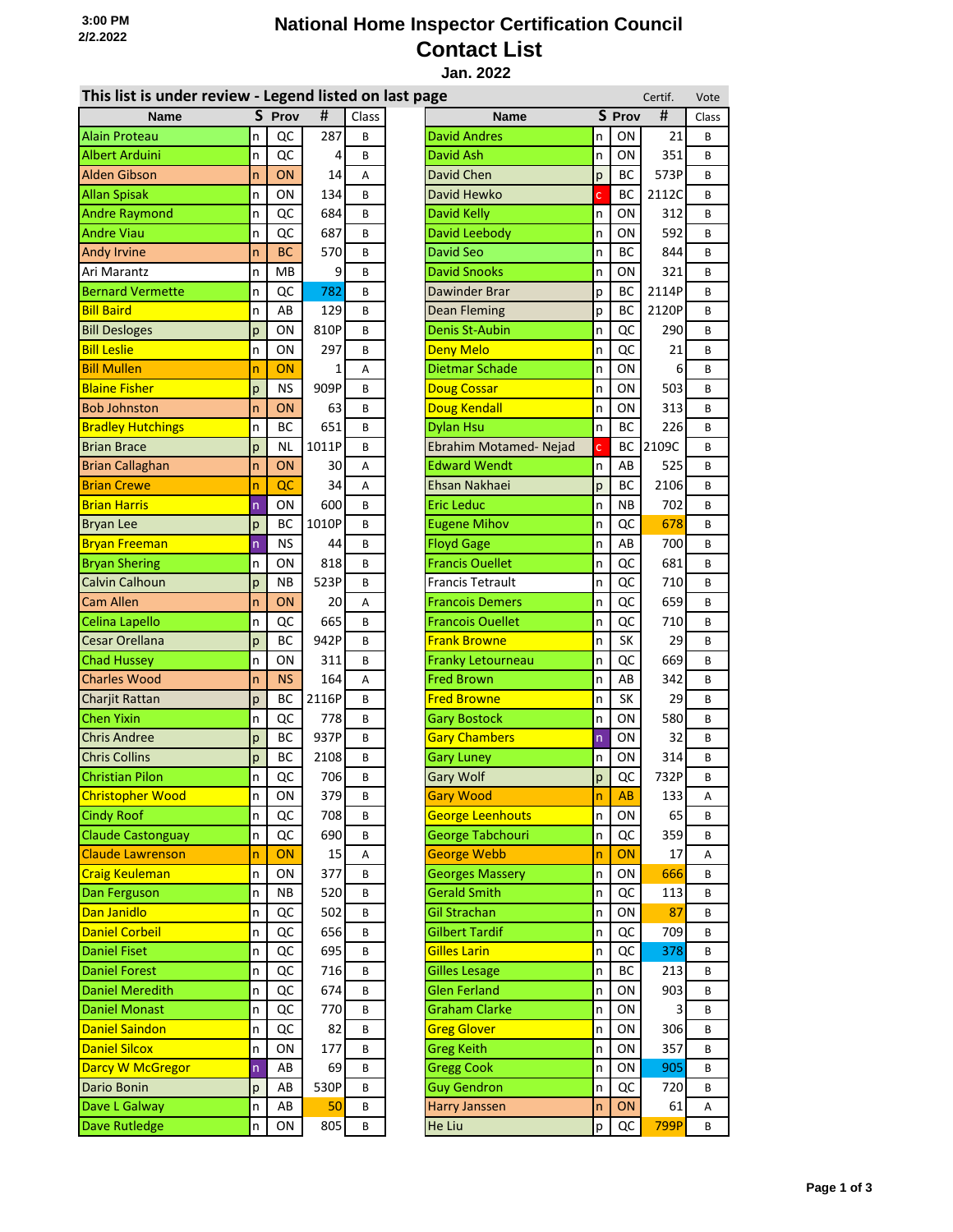## **2/2.2022 National Home Inspector Certification Council Contact List**

**Jan. 2022**

| This list is under review - Legend listed on last page |              |           |       |       |                                       | Certif. | Vote  |
|--------------------------------------------------------|--------------|-----------|-------|-------|---------------------------------------|---------|-------|
| <b>Name</b>                                            |              | S Prov    | #     | Class | S Prov<br><b>Name</b>                 | #       | Class |
| <b>Alain Proteau</b>                                   | n            | QC        | 287   | B     | <b>David Andres</b><br>ΟN<br>n        | 21      | B     |
| <b>Albert Arduini</b>                                  | n            | QC        | 4     | B     | <b>David Ash</b><br>ON<br>n           | 351     | B     |
| <b>Alden Gibson</b>                                    | n            | ON        | 14    | A     | <b>David Chen</b><br>BC<br>p          | 573P    | B     |
| <b>Allan Spisak</b>                                    | n            | ON        | 134   | B     | David Hewko<br>BC<br>Ċ                | 2112C   | B     |
| <b>Andre Raymond</b>                                   | n            | QC        | 684   | B     | <b>David Kelly</b><br>ΟN<br>n         | 312     | В     |
| <b>Andre Viau</b>                                      | n            | QC        | 687   | B     | David Leebody<br>n<br>ΟN              | 592     | В     |
| <b>Andy Irvine</b>                                     | n            | <b>BC</b> | 570   | B     | <b>David Seo</b><br>BС<br>n           | 844     | B     |
| Ari Marantz                                            | n            | МB        | 9     | B     | <b>David Snooks</b><br>ΟN<br>n        | 321     | B     |
| <b>Bernard Vermette</b>                                | n            | QC        | 782   | B     | <b>Dawinder Brar</b><br>BC<br>p       | 2114P   | B     |
| <b>Bill Baird</b>                                      | n            | AB        | 129   | B     | <b>Dean Fleming</b><br>BC<br>p        | 2120P   | B     |
| <b>Bill Desloges</b>                                   | p            | ON        | 810P  | B     | <b>Denis St-Aubin</b><br>QC<br>n      | 290     | B     |
| <b>Bill Leslie</b>                                     | n            | ON        | 297   | B     | <b>Deny Melo</b><br>QC<br>n           | 21      | B     |
| <b>Bill Mullen</b>                                     | n            | ON        | 1     | A     | <b>Dietmar Schade</b><br>ON<br>n      | 6       | B     |
| <b>Blaine Fisher</b>                                   | p            | <b>NS</b> | 909P  | B     | <b>Doug Cossar</b><br>ΟN<br>n         | 503     | B     |
| <b>Bob Johnston</b>                                    | n            | ON        | 63    | B     | <b>Doug Kendall</b><br>ΟN<br>n        | 313     | B     |
| <b>Bradley Hutchings</b>                               | n            | ВC        | 651   | B     | <b>Dylan Hsu</b><br>BС<br>n           | 226     | В     |
| <b>Brian Brace</b>                                     | p            | <b>NL</b> | 1011P | B     | BC<br>Ebrahim Motamed-Nejad<br>Ċ      | 2109C   | В     |
| <b>Brian Callaghan</b>                                 | n            | ON        | 30    | А     | <b>Edward Wendt</b><br>n<br>AB        | 525     | В     |
| <b>Brian Crewe</b>                                     | n            | QC        | 34    | A     | Ehsan Nakhaei<br>ВC                   | 2106    | В     |
| <b>Brian Harris</b>                                    |              |           |       |       | p<br><b>Eric Leduc</b>                |         |       |
|                                                        | n            | ΟN        | 600   | B     | <b>NB</b><br>n                        | 702     | B     |
| <b>Bryan Lee</b>                                       | p            | ВC        | 1010P | B     | <b>Eugene Mihov</b><br>n<br>QC        | 678     | B     |
| <b>Bryan Freeman</b>                                   | n            | <b>NS</b> | 44    | B     | <b>Floyd Gage</b><br>n<br>AB          | 700     | B     |
| <b>Bryan Shering</b>                                   | n            | ON        | 818   | B     | <b>Francis Ouellet</b><br>QC<br>n     | 681     | В     |
| Calvin Calhoun                                         | p            | ΝB        | 523P  | B     | <b>Francis Tetrault</b><br>n<br>QC    | 710     | В     |
| Cam Allen                                              | n            | <b>ON</b> | 20    | A     | <b>Francois Demers</b><br>n<br>QC     | 659     | B     |
| Celina Lapello                                         | n            | QC        | 665   | B     | <b>Francois Ouellet</b><br>QC<br>n    | 710     | B     |
| Cesar Orellana                                         | p            | BC        | 942P  | B     | <b>Frank Browne</b><br><b>SK</b><br>n | 29      | В     |
| <b>Chad Hussey</b>                                     | n            | ΟN        | 311   | B     | Franky Letourneau<br>QC<br>n          | 669     | B     |
| <b>Charles Wood</b>                                    | n            | <b>NS</b> | 164   | A     | <b>Fred Brown</b><br>AB<br>n          | 342     | B     |
| Charjit Rattan                                         | р            | BC        | 2116P | В     | <b>SK</b><br><b>Fred Browne</b><br>n  | 29      | В     |
| <b>Chen Yixin</b>                                      | n            | QC        | 778   | B     | <b>Gary Bostock</b><br>n<br>ΟN        | 580     | В     |
| <b>Chris Andree</b>                                    | p            | BC        | 937P  | B     | <b>Gary Chambers</b><br>ΟN<br>n       | 32      | B     |
| <b>Chris Collins</b>                                   | p            | BС        | 2108  | B     | <b>Gary Luney</b><br>ΟN<br>n          | 314     | В     |
| <b>Christian Pilon</b>                                 | n            | QC        | 706   | B     | <b>Gary Wolf</b><br>QC<br>p           | 732P    | В     |
| <b>Christopher Wood</b>                                | n            | ON        | 379   | В     | <b>Gary Wood</b><br>AB<br>n           | 133     | Α     |
| <b>Cindy Roof</b>                                      | n            | QC        | 708   | B     | <b>George Leenhouts</b><br>ON<br>n    | 65      | B     |
| <b>Claude Castonguay</b>                               | n            | QC        | 690   | B     | George Tabchouri<br>n<br>QC           | 359     | B     |
| <b>Claude Lawrenson</b>                                | n            | ON        | 15    | Α     | <b>George Webb</b><br><b>ON</b><br>n  | 17      | Α     |
| <b>Craig Keuleman</b>                                  | n            | ΟN        | 377   | B     | <b>Georges Massery</b><br>ΟN<br>n     | 666     | В     |
| Dan Ferguson                                           | n            | NΒ        | 520   | В     | <b>Gerald Smith</b><br>QC<br>n        | 113     | В     |
| Dan Janidlo                                            | n            | QC        | 502   | B     | <b>Gil Strachan</b><br>ΟN<br>n        | 87      | В     |
| Daniel Corbeil                                         | n            | QC        | 656   | B     | <b>Gilbert Tardif</b><br>QC<br>n      | 709     | В     |
| <b>Daniel Fiset</b>                                    | n            | QC        | 695   | В     | Gilles Larin<br>n<br>QC               | 378     | В     |
| <b>Daniel Forest</b>                                   | n            | QC        | 716   | B     | <b>Gilles Lesage</b><br>ВC<br>n       | 213     | В     |
| <b>Daniel Meredith</b>                                 | n            | QC        | 674   | B     | <b>Glen Ferland</b><br>ON<br>n        | 903     | В     |
| <b>Daniel Monast</b>                                   | $\mathsf{n}$ | QC        | 770   | В     | <b>Graham Clarke</b><br>ΟN<br>n       | 3       | В     |
| Daniel Saindon                                         | n            | QC        | 82    | B     | <b>Greg Glover</b><br>ON<br>n         | 306     | В     |
| <b>Daniel Silcox</b>                                   | n            | ΟN        | 177   | B     | <b>Greg Keith</b><br>ON<br>n          | 357     | В     |
| <b>Darcy W McGregor</b>                                | n            | AB        | 69    | В     | <b>Gregg Cook</b><br>ON<br>n          | 905     | В     |
| Dario Bonin                                            | p            | AB        | 530P  | B     | <b>Guy Gendron</b><br>QC<br>n         | 720     | B     |
| Dave L Galway                                          | n            | AB        | 50    | B     | <b>Harry Janssen</b><br>ON<br>n       | 61      | А     |
| Dave Rutledge                                          | n            | ON        | 805   | B     | He Liu<br>QC                          | 799P    |       |
|                                                        |              |           |       |       | р                                     |         | В     |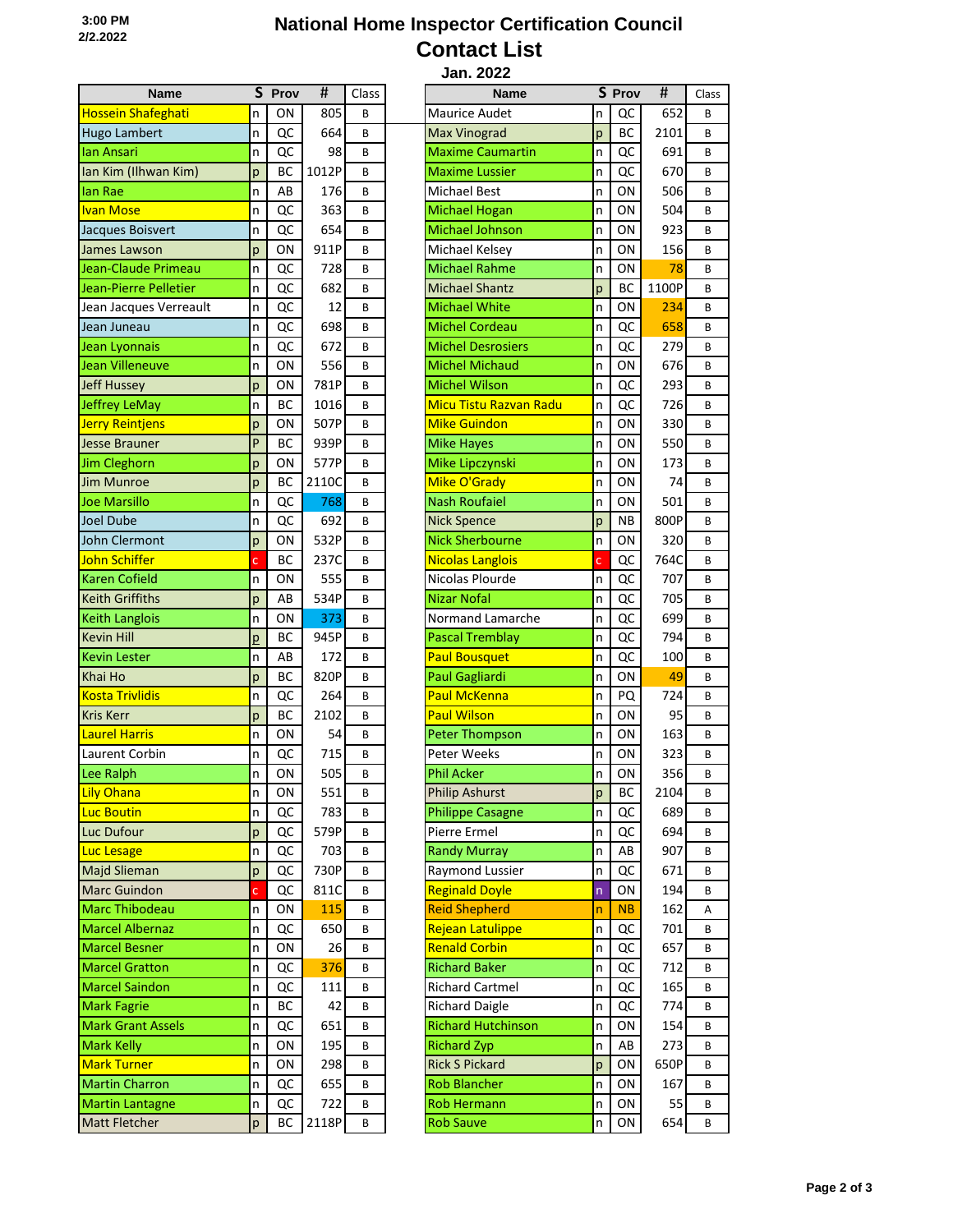## **2/2.2022 National Home Inspector Certification Council Contact List Jan. 2022**

| <b>Name</b>               | S              | Prov | #     | Class | <b>Name</b>                   |              | S Prov    | #     |
|---------------------------|----------------|------|-------|-------|-------------------------------|--------------|-----------|-------|
| <b>Hossein Shafeghati</b> | n              | 0N   | 805   | B     | Maurice Audet                 | n            | QC        | 652   |
| Hugo Lambert              | n              | QC   | 664   | B     | <b>Max Vinograd</b>           | p            | BC        | 2101  |
| lan Ansari                | n              | QC   | 98    | B     | <b>Maxime Caumartin</b>       | n            | QC        | 691   |
| Ian Kim (Ilhwan Kim)      | p              | BC   | 1012P | B     | <b>Maxime Lussier</b>         | n            | QC        | 670   |
| lan Rae                   | n              | AB   | 176   | B     | <b>Michael Best</b>           | n            | ON        | 506   |
| <b>Ivan Mose</b>          | n              | QC   | 363   | B     | <b>Michael Hogan</b>          | n            | ON        | 504   |
| Jacques Boisvert          | n              | QC   | 654   | B     | Michael Johnson               | n            | ON        | 923   |
| James Lawson              | p              | ON   | 911P  | B     | Michael Kelsey                | n            | ON        | 156   |
| Jean-Claude Primeau       | n              | QC   | 728   | B     | <b>Michael Rahme</b>          | n            | ΟN        | 78    |
| Jean-Pierre Pelletier     | n              | QC   | 682   | B     | <b>Michael Shantz</b>         | p            | ВC        | 1100P |
| Jean Jacques Verreault    | n              | QC   | 12    | B     | <b>Michael White</b>          | n            | ON        | 234   |
| Jean Juneau               | n              | QC   | 698   | B     | <b>Michel Cordeau</b>         | n            | QC        | 658   |
| Jean Lyonnais             | n              | QC   | 672   | B     | <b>Michel Desrosiers</b>      | n            | QC        | 279   |
| <b>Jean Villeneuve</b>    | n              | ON   | 556   | B     | <b>Michel Michaud</b>         | n            | ON        | 676   |
| <b>Jeff Hussey</b>        | p              | ON   | 781P  | B     | <b>Michel Wilson</b>          | n            | QC        | 293   |
| <b>Jeffrey LeMay</b>      |                | BC   | 1016  | B     | <b>Micu Tistu Razvan Radu</b> | n            | QC        | 726   |
| <b>Jerry Reintjens</b>    | n              | ON   | 507P  | B     | <b>Mike Guindon</b>           | n            | <b>ON</b> | 330   |
| <b>Jesse Brauner</b>      | p<br>P         | BC   | 939P  | B     |                               |              | ΟN        | 550   |
|                           |                |      |       |       | <b>Mike Hayes</b>             | n            |           |       |
| <b>Jim Cleghorn</b>       | p              | ΟN   | 577P  | B     | Mike Lipczynski               | n            | ON        | 173   |
| Jim Munroe                | p              | BC   | 2110C | B     | Mike O'Grady                  | n            | ON        | 74    |
| <b>Joe Marsillo</b>       | n              | QC   | 768   | B     | <b>Nash Roufaiel</b>          | n            | ΟN        | 501   |
| <b>Joel Dube</b>          | n              | QC   | 692   | B     | <b>Nick Spence</b>            | p            | NΒ        | 800P  |
| John Clermont             | p              | ON   | 532P  | B     | <b>Nick Sherbourne</b>        | n            | ON        | 320   |
| <b>John Schiffer</b>      | Ċ              | ВC   | 237C  | B     | <b>Nicolas Langlois</b>       | Ċ            | QC        | 764C  |
| <b>Karen Cofield</b>      | n              | ΟN   | 555   | B     | Nicolas Plourde               | n            | QC        | 707   |
| <b>Keith Griffiths</b>    | p              | AB   | 534P  | B     | <b>Nizar Nofal</b>            | n            | QC        | 705   |
| <b>Keith Langlois</b>     | n              | ON   | 373   | B     | Normand Lamarche              | n            | QC        | 699   |
| <b>Kevin Hill</b>         | $\overline{p}$ | BC   | 945P  | B     | <b>Pascal Tremblay</b>        | n            | QC        | 794   |
| <b>Kevin Lester</b>       | n              | AB   | 172   | B     | <b>Paul Bousquet</b>          | n            | QC        | 100   |
| Khai Ho                   | p              | BC   | 820P  | B     | Paul Gagliardi                | n            | ΟN        | 49    |
| <b>Kosta Trivlidis</b>    | n              | QC   | 264   | B     | <b>Paul McKenna</b>           | n            | PQ        | 724   |
| <b>Kris Kerr</b>          | p              | BC   | 2102  | B     | <b>Paul Wilson</b>            | n            | ON        | 95    |
| <b>Laurel Harris</b>      | n              | ΟN   | 54    | B     | <b>Peter Thompson</b>         | n            | ΟN        | 163   |
| Laurent Corbin            | n              | QC   | 715   | B     | Peter Weeks                   | n            | ΟN        | 323   |
| Lee Ralph                 | n              | ON   | 505   | B     | <b>Phil Acker</b>             | n            | ON        | 356   |
| <b>Lily Ohana</b>         | n              | ON   | 551   | B     | <b>Philip Ashurst</b>         | p            | BC        | 2104  |
| <b>Luc Boutin</b>         | n              | QC   | 783   | B     | <b>Philippe Casagne</b>       | n            | QC        | 689   |
| Luc Dufour                | p              | QC   | 579P  | B     | Pierre Ermel                  | n            | QC        | 694   |
| <b>Luc Lesage</b>         | n              | QC   | 703   | B     | <b>Randy Murray</b>           | n            | AB        | 907   |
| <b>Majd Slieman</b>       | p              | QC   | 730P  | B     | Raymond Lussier               | n            | QC        | 671   |
| <b>Marc Guindon</b>       | c              | QC   | 811C  | B     | <b>Reginald Doyle</b>         | $\mathsf{n}$ | ON        | 194   |
| <b>Marc Thibodeau</b>     | n              | ON   | 115   | B     | <b>Reid Shepherd</b>          | n            | <b>NB</b> | 162   |
| <b>Marcel Albernaz</b>    | n              | QC   | 650   | B     | <b>Rejean Latulippe</b>       | n            | QC        | 701   |
| <b>Marcel Besner</b>      | n              | ON   | 26    | B     | <b>Renald Corbin</b>          | n            | QC        | 657   |
| <b>Marcel Gratton</b>     | n              | QC   | 376   | B     | <b>Richard Baker</b>          | n            | QC        | 712   |
| <b>Marcel Saindon</b>     | n              | QC   | 111   | B     | <b>Richard Cartmel</b>        | n            | QC        | 165   |
|                           |                | BС   | 42    | B     | <b>Richard Daigle</b>         | n            | QC        | 774   |
| <b>Mark Fagrie</b>        | n              |      |       |       |                               |              |           |       |
| <b>Mark Grant Assels</b>  | n              | QC   | 651   | B     | <b>Richard Hutchinson</b>     | n            | ON        | 154   |
| <b>Mark Kelly</b>         | n              | ON   | 195   | B     | <b>Richard Zyp</b>            | n            | AB        | 273   |
| <b>Mark Turner</b>        | n              | ON   | 298   | B     | <b>Rick S Pickard</b>         | p            | ON        | 650P  |
| <b>Martin Charron</b>     | n              | QC   | 655   | B     | <b>Rob Blancher</b>           | n            | ON        | 167   |
| <b>Martin Lantagne</b>    | n              | QC   | 722   | B     | <b>Rob Hermann</b>            | n            | ON        | 55    |
| <b>Matt Fletcher</b>      | p              | BC   | 2118P | B     | <b>Rob Sauve</b>              | n            | ON        | 654   |

|               |              |      |       |       | Jan. 2022                     |   |           |       |       |
|---------------|--------------|------|-------|-------|-------------------------------|---|-----------|-------|-------|
| <b>Name</b>   | S            | Prov | Ħ     | Class | <b>Name</b>                   |   | S Prov    | #     | Class |
| feghati       | n            | ΟN   | 805   | B     | Maurice Audet                 | n | QC        | 652   | B     |
| ert           | n            | QC   | 664   | В     | <b>Max Vinograd</b>           | p | BC        | 2101  | B     |
|               | n            | QC   | 98    | В     | <b>Maxime Caumartin</b>       | n | QC        | 691   | B     |
| van Kim)      | p            | BC   | 1012P | В     | <b>Maxime Lussier</b>         | n | QC        | 670   | B     |
|               | n            | AB   | 176   | B     | Michael Best                  | n | ON        | 506   | B     |
|               | n            | QC   | 363   | В     | <b>Michael Hogan</b>          | n | ON        | 504   | B     |
| svert         | n            | QC   | 654   | B     | Michael Johnson               | n | ΟN        | 923   | B     |
| on            | p            | ΟN   | 911P  | B     | Michael Kelsey                | n | ON        | 156   | B     |
| Primeau       | n            | QC   | 728   | В     | <b>Michael Rahme</b>          | n | ON        | 78    | B     |
| Pelletier     | n            | QC   | 682   | В     | <b>Michael Shantz</b>         | p | ВC        | 1100P | B     |
| s Verreault   | n            | QC   | 12    | B     | <b>Michael White</b>          | n | ON        | 234   | B     |
|               | n            | QC   | 698   | В     | <b>Michel Cordeau</b>         | n | QC        | 658   | B     |
| iis           | n            | QC   | 672   | В     | <b>Michel Desrosiers</b>      | n | QC        | 279   | B     |
| uve           | n            | ON   | 556   | В     | <b>Michel Michaud</b>         | n | ON        | 676   | B     |
|               | p            | ON   | 781P  | В     | <b>Michel Wilson</b>          | n | QC        | 293   | B     |
|               | n            | BC   | 1016  | B     | <b>Micu Tistu Razvan Radu</b> | n | QC        | 726   | B     |
| ay<br>ens     |              | ΟN   | 507P  | B     | <b>Mike Guindon</b>           |   | ON        | 330   | B     |
|               | p<br>P       |      |       |       |                               | n |           |       |       |
| er            |              | BC   | 939P  | B     | <b>Mike Hayes</b>             | n | ON        | 550   | B     |
| n             | p            | ΟN   | 577P  | B     | Mike Lipczynski               | n | ON        | 173   | B     |
|               | p            | BC   | 2110C | B     | Mike O'Grady                  | n | ON        | 74    | B     |
|               | n            | QC   | 768   | В     | <b>Nash Roufaiel</b>          | n | ON        | 501   | B     |
|               | n            | QC   | 692   | В     | <b>Nick Spence</b>            | p | ΝB        | 800P  | B     |
| ת(            | p            | ΟN   | 532P  | B     | <b>Nick Sherbourne</b>        | n | ON        | 320   | B     |
| 'n            | c            | BC   | 237C  | В     | <b>Nicolas Langlois</b>       | c | QC        | 764C  | B     |
| ld            | n            | ON   | 555   | В     | Nicolas Plourde               | n | QC        | 707   | B     |
| hs            | p            | AB   | 534P  | В     | <b>Nizar Nofal</b>            | n | QC        | 705   | B     |
| bis           | n            | ON   | 373   | B     | Normand Lamarche              | n | QC        | 699   | B     |
|               | p            | BC   | 945P  | В     | <b>Pascal Tremblay</b>        | n | QC        | 794   | B     |
|               | n            | AB   | 172   | B     | <b>Paul Bousquet</b>          | n | QC        | 100   | B     |
|               | p            | BC   | 820P  | B     | Paul Gagliardi                | n | ON        | 49    | B     |
| dis           | n            | QC   | 264   | B     | <b>Paul McKenna</b>           | n | PQ        | 724   | B     |
|               | р            | BC   | 2102  | В     | Paul Wilson                   | n | ΟN        | 95    | B     |
| s             | n            | ΟN   | 54    | В     | <b>Peter Thompson</b>         | n | ON        | 163   | B     |
| bin           | n            | QC   | 715   | B     | Peter Weeks                   | n | ΟN        | 323   | B     |
|               | n            | ΟN   | 505   | В     | <b>Phil Acker</b>             | n | ΟN        | 356   | В     |
|               | n            | ΟN   | 551   | В     | <b>Philip Ashurst</b>         | p | ВC        | 2104  | B     |
|               | n            | QC   | 783   | В     | <b>Philippe Casagne</b>       | n | QC        | 689   | B     |
|               | p            | QC   | 579P  | В     | Pierre Ermel                  | n | QC        | 694   | B     |
|               | n            | QC   | 703   | В     | <b>Randy Murray</b>           | n | AB        | 907   | В     |
| яn            | p            | QC   | 730P  | В     | Raymond Lussier               | n | QC        | 671   | B     |
| on            | c            | QC   | 811C  | В     | <b>Reginald Doyle</b>         | n | ΟN        | 194   | B     |
| deau          | n            | ΟN   | 115   | B     | <b>Reid Shepherd</b>          | n | <b>NB</b> | 162   | Α     |
|               |              |      |       |       | <b>Rejean Latulippe</b>       |   |           |       |       |
| rnaz!         | n            | QC   | 650   | В     |                               | n | QC        | 701   | B     |
| er            | n            | ON   | 26    | В     | <b>Renald Corbin</b>          | n | QC        | 657   | B     |
| ton           | n            | QC   | 376   | В     | <b>Richard Baker</b>          | n | QC        | 712   | B     |
| don           | n            | QC   | 111   | В     | <b>Richard Cartmel</b>        | n | QC        | 165   | В     |
|               | n            | ВC   | 42    | В     | <b>Richard Daigle</b>         | n | QC        | 774   | B     |
| <b>Assels</b> | n            | QC   | 651   | В     | <b>Richard Hutchinson</b>     | n | ΟN        | 154   | B     |
|               | n            | ΟN   | 195   | В     | <b>Richard Zyp</b>            | n | AB        | 273   | B     |
|               | n            | ΟN   | 298   | В     | <b>Rick S Pickard</b>         | p | ON        | 650P  | B     |
| <b>ron</b>    | n            | QC   | 655   | В     | <b>Rob Blancher</b>           | n | ON        | 167   | B     |
| agne          | n            | QC   | 722   | В     | <b>Rob Hermann</b>            | n | ON        | 55    | В     |
| er            | $\mathsf{p}$ | ВC   | 2118P | B     | <b>Rob Sauve</b>              | n | ON        | 654   | В     |